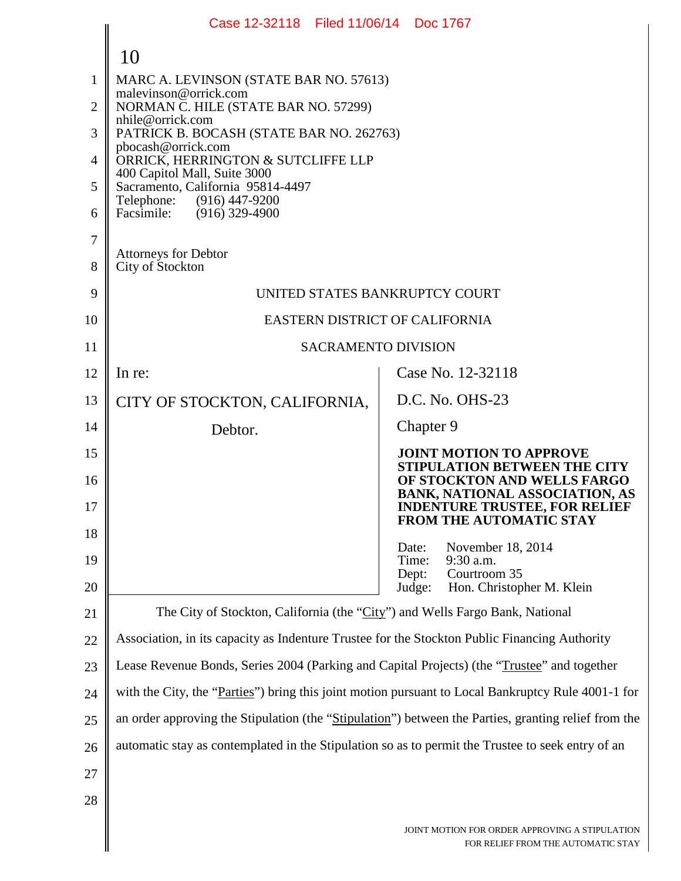|                | Case 12-32118 Filed 11/06/14 Doc 1767                                                                |                                                                                                              |  |  |  |  |
|----------------|------------------------------------------------------------------------------------------------------|--------------------------------------------------------------------------------------------------------------|--|--|--|--|
|                | 10                                                                                                   |                                                                                                              |  |  |  |  |
| 1              | MARC A. LEVINSON (STATE BAR NO. 57613)                                                               |                                                                                                              |  |  |  |  |
| 2              | malevinson@orrick.com<br>NORMAN C. HILE (STATE BAR NO. 57299)                                        |                                                                                                              |  |  |  |  |
| 3              | nhile@orrick.com<br>PATRICK B. BOCASH (STATE BAR NO. 262763)                                         |                                                                                                              |  |  |  |  |
| $\overline{4}$ | pbocash@orrick.com<br>ORRICK, HERRINGTON & SUTCLIFFE LLP                                             |                                                                                                              |  |  |  |  |
| 5              | 400 Capitol Mall, Suite 3000<br>Sacramento, California 95814-4497                                    |                                                                                                              |  |  |  |  |
| 6              | Telephone: (916) 447-9200<br>Facsimile: (916) 329-4900                                               |                                                                                                              |  |  |  |  |
| $\overline{7}$ |                                                                                                      |                                                                                                              |  |  |  |  |
| 8              | <b>Attorneys for Debtor</b><br>City of Stockton                                                      |                                                                                                              |  |  |  |  |
| 9              | UNITED STATES BANKRUPTCY COURT                                                                       |                                                                                                              |  |  |  |  |
| 10             | EASTERN DISTRICT OF CALIFORNIA                                                                       |                                                                                                              |  |  |  |  |
| 11             | <b>SACRAMENTO DIVISION</b>                                                                           |                                                                                                              |  |  |  |  |
| 12             | In re:                                                                                               | Case No. 12-32118                                                                                            |  |  |  |  |
| 13             | CITY OF STOCKTON, CALIFORNIA,                                                                        | D.C. No. OHS-23                                                                                              |  |  |  |  |
| 14             | Debtor.                                                                                              | Chapter 9                                                                                                    |  |  |  |  |
| 15             |                                                                                                      | <b>JOINT MOTION TO APPROVE</b><br><b>STIPULATION BETWEEN THE CITY</b>                                        |  |  |  |  |
| 16<br>17       |                                                                                                      | OF STOCKTON AND WELLS FARGO<br><b>BANK, NATIONAL ASSOCIATION, AS</b><br><b>INDENTURE TRUSTEE, FOR RELIEF</b> |  |  |  |  |
| 18             |                                                                                                      | <b>FROM THE AUTOMATIC STAY</b>                                                                               |  |  |  |  |
| 19             |                                                                                                      | November 18, 2014<br>Date:<br>9:30 a.m.<br>Time:                                                             |  |  |  |  |
| 20             |                                                                                                      | Courtroom 35<br>Dept:<br>Judge:<br>Hon. Christopher M. Klein                                                 |  |  |  |  |
| 21             | The City of Stockton, California (the "City") and Wells Fargo Bank, National                         |                                                                                                              |  |  |  |  |
| 22             | Association, in its capacity as Indenture Trustee for the Stockton Public Financing Authority        |                                                                                                              |  |  |  |  |
| 23             | Lease Revenue Bonds, Series 2004 (Parking and Capital Projects) (the "Trustee" and together          |                                                                                                              |  |  |  |  |
| 24             | with the City, the "Parties" bring this joint motion pursuant to Local Bankruptcy Rule 4001-1 for    |                                                                                                              |  |  |  |  |
| 25             | an order approving the Stipulation (the "Stipulation") between the Parties, granting relief from the |                                                                                                              |  |  |  |  |
| 26             | automatic stay as contemplated in the Stipulation so as to permit the Trustee to seek entry of an    |                                                                                                              |  |  |  |  |
| 27             |                                                                                                      |                                                                                                              |  |  |  |  |
| 28             |                                                                                                      |                                                                                                              |  |  |  |  |
|                |                                                                                                      | JOINT MOTION FOR ORDER APPROVING A STIPULATION<br>FOR RELIEF FROM THE AUTOMATIC STAY                         |  |  |  |  |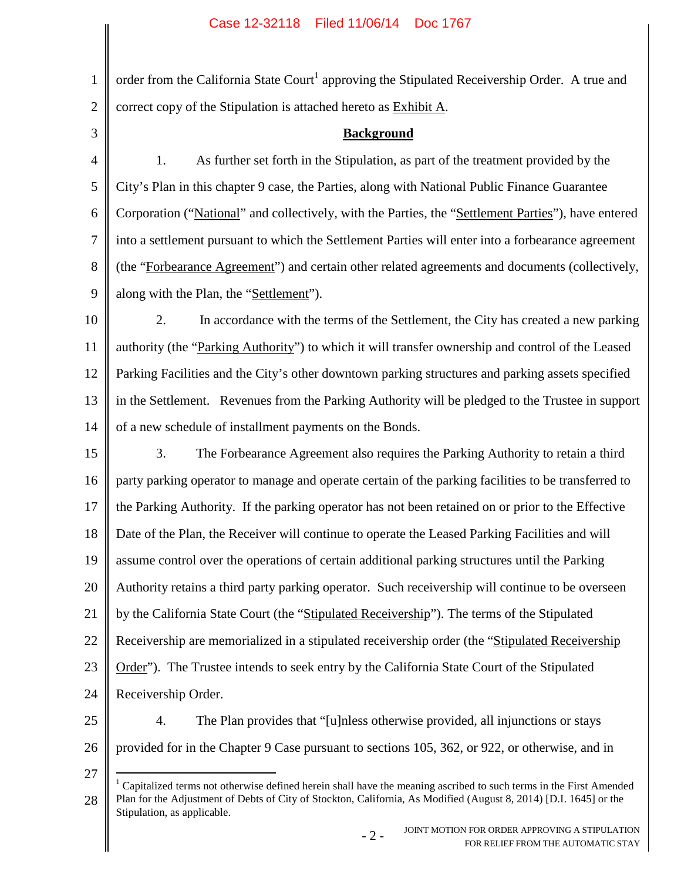1 2 order from the California State Court<sup>1</sup> approving the Stipulated Receivership Order. A true and correct copy of the Stipulation is attached hereto as Exhibit A.

3

## **Background**

4 5 6 7 8 9 1. As further set forth in the Stipulation, as part of the treatment provided by the City's Plan in this chapter 9 case, the Parties, along with National Public Finance Guarantee Corporation ("National" and collectively, with the Parties, the "Settlement Parties"), have entered into a settlement pursuant to which the Settlement Parties will enter into a forbearance agreement (the "Forbearance Agreement") and certain other related agreements and documents (collectively, along with the Plan, the "Settlement").

10 11 12 13 14 2. In accordance with the terms of the Settlement, the City has created a new parking authority (the "Parking Authority") to which it will transfer ownership and control of the Leased Parking Facilities and the City's other downtown parking structures and parking assets specified in the Settlement. Revenues from the Parking Authority will be pledged to the Trustee in support of a new schedule of installment payments on the Bonds.

15 16 17 18 19 20 21 22 23 24 3. The Forbearance Agreement also requires the Parking Authority to retain a third party parking operator to manage and operate certain of the parking facilities to be transferred to the Parking Authority. If the parking operator has not been retained on or prior to the Effective Date of the Plan, the Receiver will continue to operate the Leased Parking Facilities and will assume control over the operations of certain additional parking structures until the Parking Authority retains a third party parking operator. Such receivership will continue to be overseen by the California State Court (the "Stipulated Receivership"). The terms of the Stipulated Receivership are memorialized in a stipulated receivership order (the "Stipulated Receivership Order"). The Trustee intends to seek entry by the California State Court of the Stipulated Receivership Order.

25

26

27

4. The Plan provides that "[u]nless otherwise provided, all injunctions or stays provided for in the Chapter 9 Case pursuant to sections 105, 362, or 922, or otherwise, and in

<sup>28</sup> <sup>1</sup> Capitalized terms not otherwise defined herein shall have the meaning ascribed to such terms in the First Amended Plan for the Adjustment of Debts of City of Stockton, California, As Modified (August 8, 2014) [D.I. 1645] or the Stipulation, as applicable.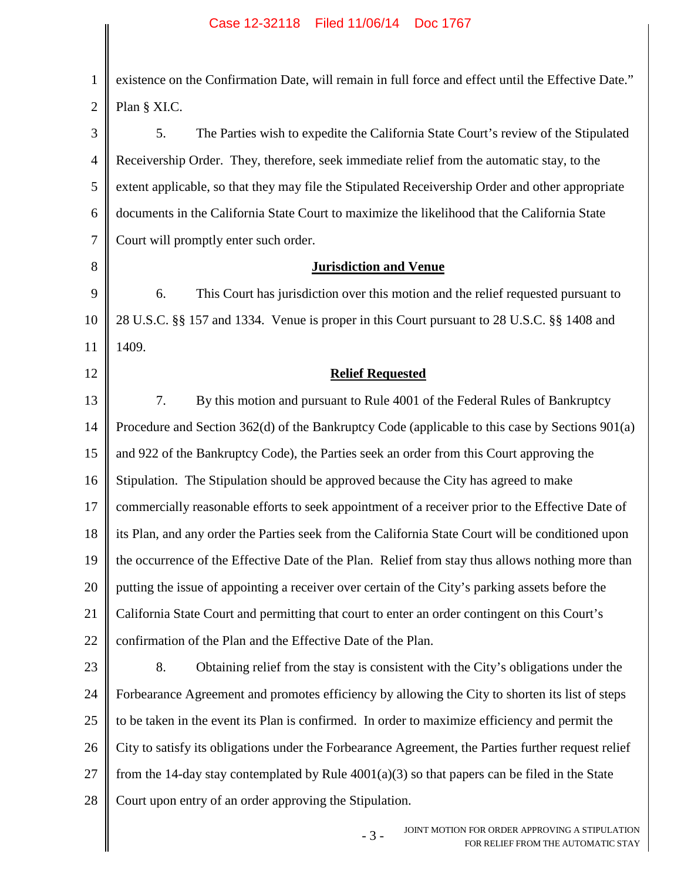1 2 existence on the Confirmation Date, will remain in full force and effect until the Effective Date." Plan § XI.C.

3 4 5 6 7 5. The Parties wish to expedite the California State Court's review of the Stipulated Receivership Order. They, therefore, seek immediate relief from the automatic stay, to the extent applicable, so that they may file the Stipulated Receivership Order and other appropriate documents in the California State Court to maximize the likelihood that the California State Court will promptly enter such order.

## **Jurisdiction and Venue**

9 10 11 6. This Court has jurisdiction over this motion and the relief requested pursuant to 28 U.S.C. §§ 157 and 1334. Venue is proper in this Court pursuant to 28 U.S.C. §§ 1408 and 1409.

8

12

## **Relief Requested**

13 14 15 16 17 18 19 20 21 22 7. By this motion and pursuant to Rule 4001 of the Federal Rules of Bankruptcy Procedure and Section 362(d) of the Bankruptcy Code (applicable to this case by Sections 901(a) and 922 of the Bankruptcy Code), the Parties seek an order from this Court approving the Stipulation. The Stipulation should be approved because the City has agreed to make commercially reasonable efforts to seek appointment of a receiver prior to the Effective Date of its Plan, and any order the Parties seek from the California State Court will be conditioned upon the occurrence of the Effective Date of the Plan. Relief from stay thus allows nothing more than putting the issue of appointing a receiver over certain of the City's parking assets before the California State Court and permitting that court to enter an order contingent on this Court's confirmation of the Plan and the Effective Date of the Plan.

23 24 25 26 27 28 8. Obtaining relief from the stay is consistent with the City's obligations under the Forbearance Agreement and promotes efficiency by allowing the City to shorten its list of steps to be taken in the event its Plan is confirmed. In order to maximize efficiency and permit the City to satisfy its obligations under the Forbearance Agreement, the Parties further request relief from the 14-day stay contemplated by Rule  $4001(a)(3)$  so that papers can be filed in the State Court upon entry of an order approving the Stipulation.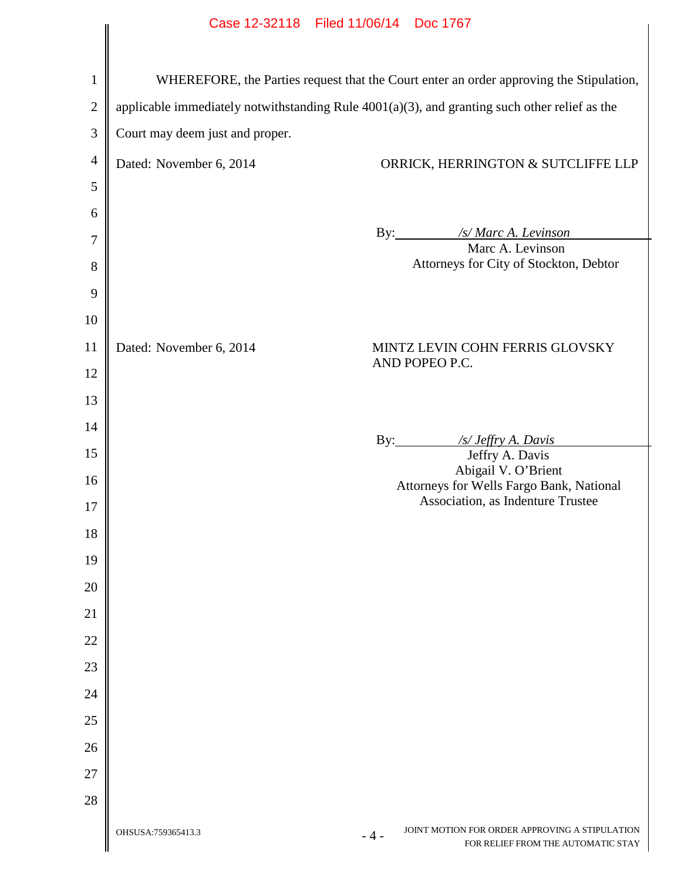| Case 12-32118 Filed 11/06/14 Doc 1767                                                                                                                                                       |                                                                                        |  |  |  |  |
|---------------------------------------------------------------------------------------------------------------------------------------------------------------------------------------------|----------------------------------------------------------------------------------------|--|--|--|--|
| WHEREFORE, the Parties request that the Court enter an order approving the Stipulation,<br>applicable immediately notwithstanding Rule $4001(a)(3)$ , and granting such other relief as the |                                                                                        |  |  |  |  |
| Court may deem just and proper.                                                                                                                                                             |                                                                                        |  |  |  |  |
| Dated: November 6, 2014                                                                                                                                                                     | ORRICK, HERRINGTON & SUTCLIFFE LLP                                                     |  |  |  |  |
|                                                                                                                                                                                             | By: /s/ Marc A. Levinson<br>Marc A. Levinson<br>Attorneys for City of Stockton, Debtor |  |  |  |  |
| Dated: November 6, 2014                                                                                                                                                                     | MINTZ LEVIN COHN FERRIS GLOVSKY<br>AND POPEO P.C.                                      |  |  |  |  |
|                                                                                                                                                                                             | By: $\frac{f_S}{\sqrt{f}f(y)}$ A. Davis                                                |  |  |  |  |
|                                                                                                                                                                                             | Jeffry A. Davis                                                                        |  |  |  |  |
|                                                                                                                                                                                             | Abigail V. O'Brient                                                                    |  |  |  |  |
|                                                                                                                                                                                             | Attorneys for Wells Fargo Bank, National                                               |  |  |  |  |

OHSUSA:759365413.3

Association, as Indenture Trustee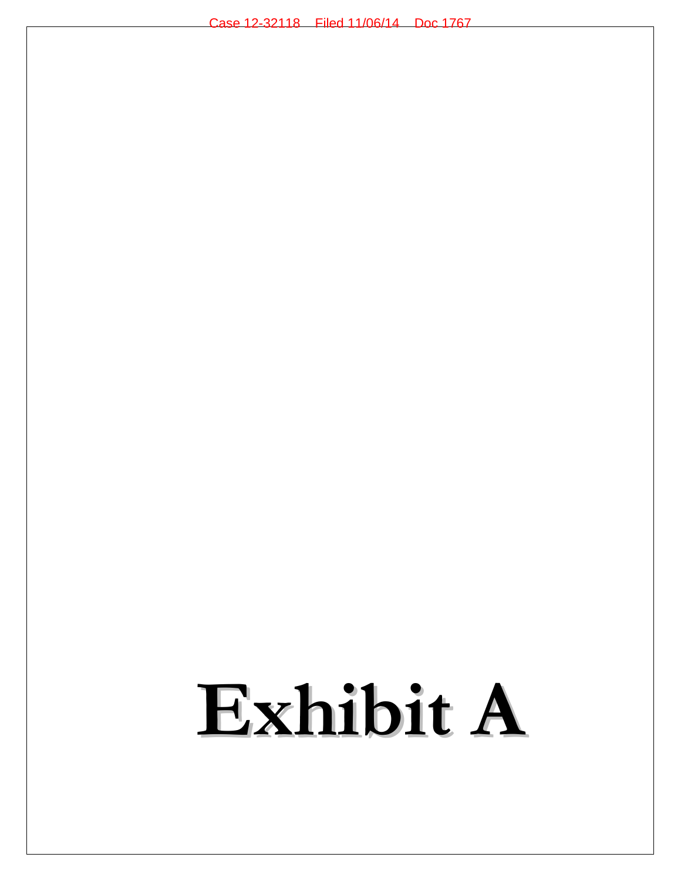## **Exhibit A**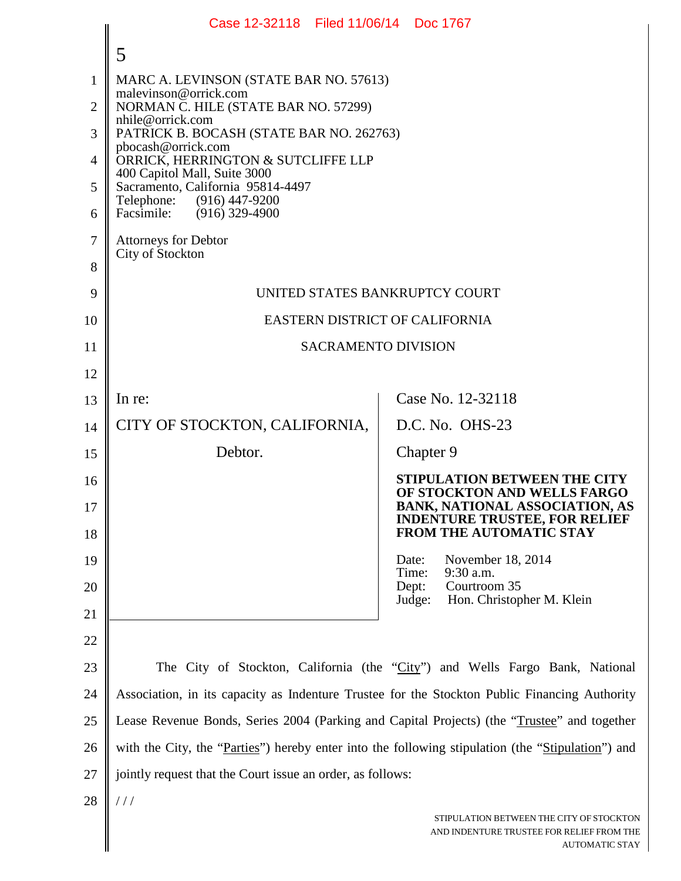|                | Case 12-32118 Filed 11/06/14 Doc 1767                                                             |                                                                                                             |  |  |  |
|----------------|---------------------------------------------------------------------------------------------------|-------------------------------------------------------------------------------------------------------------|--|--|--|
|                | 5                                                                                                 |                                                                                                             |  |  |  |
| $\mathbf{1}$   | MARC A. LEVINSON (STATE BAR NO. 57613)                                                            |                                                                                                             |  |  |  |
| $\overline{2}$ | malevinson@orrick.com<br>NORMAN C. HILE (STATE BAR NO. 57299)                                     |                                                                                                             |  |  |  |
| 3              | nhile@orrick.com<br>PATRICK B. BOCASH (STATE BAR NO. 262763)                                      |                                                                                                             |  |  |  |
| 4              | pbocash@orrick.com<br>ORRICK, HERRINGTON & SUTCLIFFE LLP                                          |                                                                                                             |  |  |  |
| 5              | 400 Capitol Mall, Suite 3000<br>Sacramento, California 95814-4497                                 |                                                                                                             |  |  |  |
| 6              | Telephone: (916) 447-9200<br>Facsimile: (916) 329-4900                                            |                                                                                                             |  |  |  |
| 7              | <b>Attorneys for Debtor</b><br>City of Stockton                                                   |                                                                                                             |  |  |  |
| $8\,$          |                                                                                                   |                                                                                                             |  |  |  |
| 9              | UNITED STATES BANKRUPTCY COURT                                                                    |                                                                                                             |  |  |  |
| 10             | EASTERN DISTRICT OF CALIFORNIA                                                                    |                                                                                                             |  |  |  |
| 11             | <b>SACRAMENTO DIVISION</b>                                                                        |                                                                                                             |  |  |  |
| 12             |                                                                                                   |                                                                                                             |  |  |  |
| 13             | In re:                                                                                            | Case No. 12-32118                                                                                           |  |  |  |
| 14             | CITY OF STOCKTON, CALIFORNIA,                                                                     | D.C. No. OHS-23                                                                                             |  |  |  |
| 15             | Debtor.                                                                                           | Chapter 9                                                                                                   |  |  |  |
| 16<br>17       |                                                                                                   | <b>STIPULATION BETWEEN THE CITY</b><br>OF STOCKTON AND WELLS FARGO<br><b>BANK, NATIONAL ASSOCIATION, AS</b> |  |  |  |
| 18             |                                                                                                   | <b>INDENTURE TRUSTEE, FOR RELIEF</b><br><b>FROM THE AUTOMATIC STAY</b>                                      |  |  |  |
| 19             |                                                                                                   | November 18, 2014<br>Date:<br>9:30 a.m.<br>Time:                                                            |  |  |  |
| 20             |                                                                                                   | Courtroom 35<br>Dept:<br>Judge:<br>Hon. Christopher M. Klein                                                |  |  |  |
| 21             |                                                                                                   |                                                                                                             |  |  |  |
| 22             |                                                                                                   |                                                                                                             |  |  |  |
| 23             | The City of Stockton, California (the "City") and Wells Fargo Bank, National                      |                                                                                                             |  |  |  |
| 24             | Association, in its capacity as Indenture Trustee for the Stockton Public Financing Authority     |                                                                                                             |  |  |  |
| 25             | Lease Revenue Bonds, Series 2004 (Parking and Capital Projects) (the "Trustee" and together       |                                                                                                             |  |  |  |
| 26             | with the City, the "Parties") hereby enter into the following stipulation (the "Stipulation") and |                                                                                                             |  |  |  |
| 27             | jointly request that the Court issue an order, as follows:                                        |                                                                                                             |  |  |  |
| 28             | 111                                                                                               |                                                                                                             |  |  |  |
|                |                                                                                                   | STIPULATION BETWEEN THE CITY OF STOCKTON<br>AND INDENTURE TRUSTEE FOR RELIEF FROM THE<br>AUTOMATIC STAY     |  |  |  |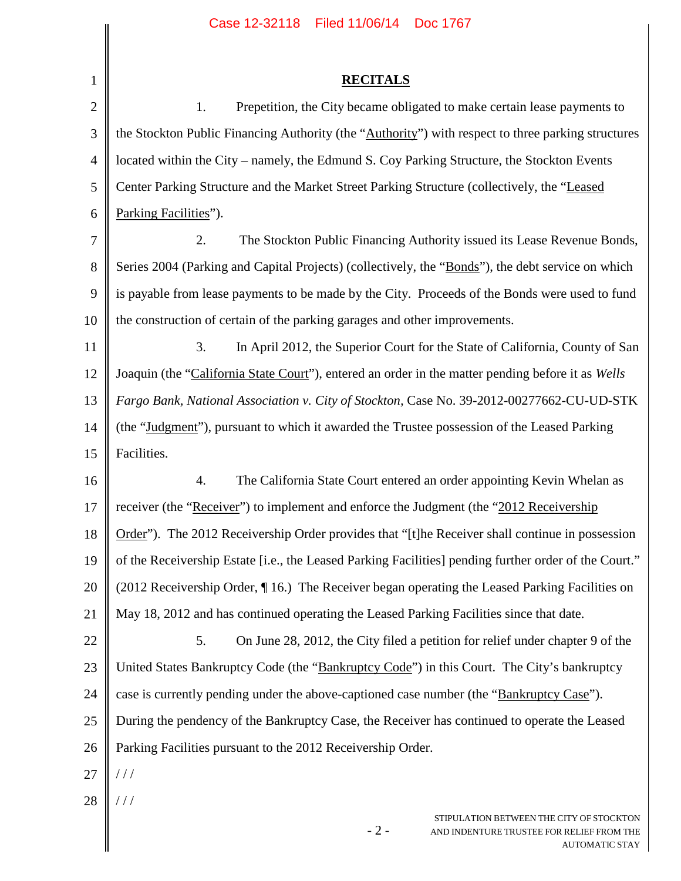| 1              | <b>RECITALS</b>                                                                                       |  |  |
|----------------|-------------------------------------------------------------------------------------------------------|--|--|
| $\overline{2}$ | Prepetition, the City became obligated to make certain lease payments to<br>1.                        |  |  |
| 3              | the Stockton Public Financing Authority (the "Authority") with respect to three parking structures    |  |  |
| 4              | located within the City – namely, the Edmund S. Coy Parking Structure, the Stockton Events            |  |  |
| 5              | Center Parking Structure and the Market Street Parking Structure (collectively, the "Leased           |  |  |
| 6              | Parking Facilities").                                                                                 |  |  |
| 7              | 2.<br>The Stockton Public Financing Authority issued its Lease Revenue Bonds,                         |  |  |
| 8              | Series 2004 (Parking and Capital Projects) (collectively, the "Bonds"), the debt service on which     |  |  |
| 9              | is payable from lease payments to be made by the City. Proceeds of the Bonds were used to fund        |  |  |
| 10             | the construction of certain of the parking garages and other improvements.                            |  |  |
| 11             | 3.<br>In April 2012, the Superior Court for the State of California, County of San                    |  |  |
| 12             | Joaquin (the "California State Court"), entered an order in the matter pending before it as Wells     |  |  |
| 13             | Fargo Bank, National Association v. City of Stockton, Case No. 39-2012-00277662-CU-UD-STK             |  |  |
| 14             | (the "Judgment"), pursuant to which it awarded the Trustee possession of the Leased Parking           |  |  |
| 15             | Facilities.                                                                                           |  |  |
| 16             | 4.<br>The California State Court entered an order appointing Kevin Whelan as                          |  |  |
| 17             | receiver (the "Receiver") to implement and enforce the Judgment (the "2012 Receivership"              |  |  |
| 18             | Order"). The 2012 Receivership Order provides that "[t]he Receiver shall continue in possession       |  |  |
| 19             | of the Receivership Estate [i.e., the Leased Parking Facilities] pending further order of the Court." |  |  |
| 20             | (2012 Receivership Order, ¶16.) The Receiver began operating the Leased Parking Facilities on         |  |  |
| 21             | May 18, 2012 and has continued operating the Leased Parking Facilities since that date.               |  |  |
| 22             | On June 28, 2012, the City filed a petition for relief under chapter 9 of the<br>5.                   |  |  |
| 23             | United States Bankruptcy Code (the "Bankruptcy Code") in this Court. The City's bankruptcy            |  |  |
| 24             | case is currently pending under the above-captioned case number (the "Bankruptcy Case").              |  |  |
| 25             | During the pendency of the Bankruptcy Case, the Receiver has continued to operate the Leased          |  |  |
| 26             | Parking Facilities pursuant to the 2012 Receivership Order.                                           |  |  |
| 27             | //                                                                                                    |  |  |
| 28             | //                                                                                                    |  |  |
|                | STIPULATION BETWEEN THE CITY OF STOCKTON                                                              |  |  |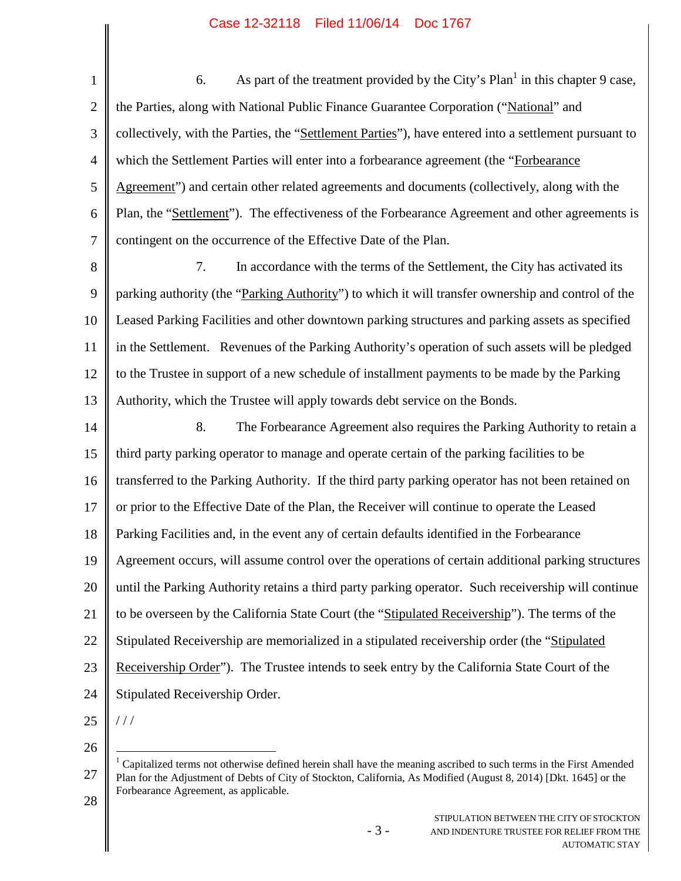1 2 3 4 5 6 7 8 9 10 11 12 13 14 15 16 17 18 19 20 21 22 23 24 6. As part of the treatment provided by the City's  $Plan<sup>1</sup>$  in this chapter 9 case, the Parties, along with National Public Finance Guarantee Corporation ("National" and collectively, with the Parties, the "Settlement Parties"), have entered into a settlement pursuant to which the Settlement Parties will enter into a forbearance agreement (the "Forbearance Agreement") and certain other related agreements and documents (collectively, along with the Plan, the "Settlement"). The effectiveness of the Forbearance Agreement and other agreements is contingent on the occurrence of the Effective Date of the Plan. 7. In accordance with the terms of the Settlement, the City has activated its parking authority (the "Parking Authority") to which it will transfer ownership and control of the Leased Parking Facilities and other downtown parking structures and parking assets as specified in the Settlement. Revenues of the Parking Authority's operation of such assets will be pledged to the Trustee in support of a new schedule of installment payments to be made by the Parking Authority, which the Trustee will apply towards debt service on the Bonds. 8. The Forbearance Agreement also requires the Parking Authority to retain a third party parking operator to manage and operate certain of the parking facilities to be transferred to the Parking Authority. If the third party parking operator has not been retained on or prior to the Effective Date of the Plan, the Receiver will continue to operate the Leased Parking Facilities and, in the event any of certain defaults identified in the Forbearance Agreement occurs, will assume control over the operations of certain additional parking structures until the Parking Authority retains a third party parking operator. Such receivership will continue to be overseen by the California State Court (the "Stipulated Receivership"). The terms of the Stipulated Receivership are memorialized in a stipulated receivership order (the "Stipulated Receivership Order"). The Trustee intends to seek entry by the California State Court of the Stipulated Receivership Order. / / /

25

26

- 3 -

<sup>27</sup> 28 <sup>1</sup> Capitalized terms not otherwise defined herein shall have the meaning ascribed to such terms in the First Amended Plan for the Adjustment of Debts of City of Stockton, California, As Modified (August 8, 2014) [Dkt. 1645] or the Forbearance Agreement, as applicable.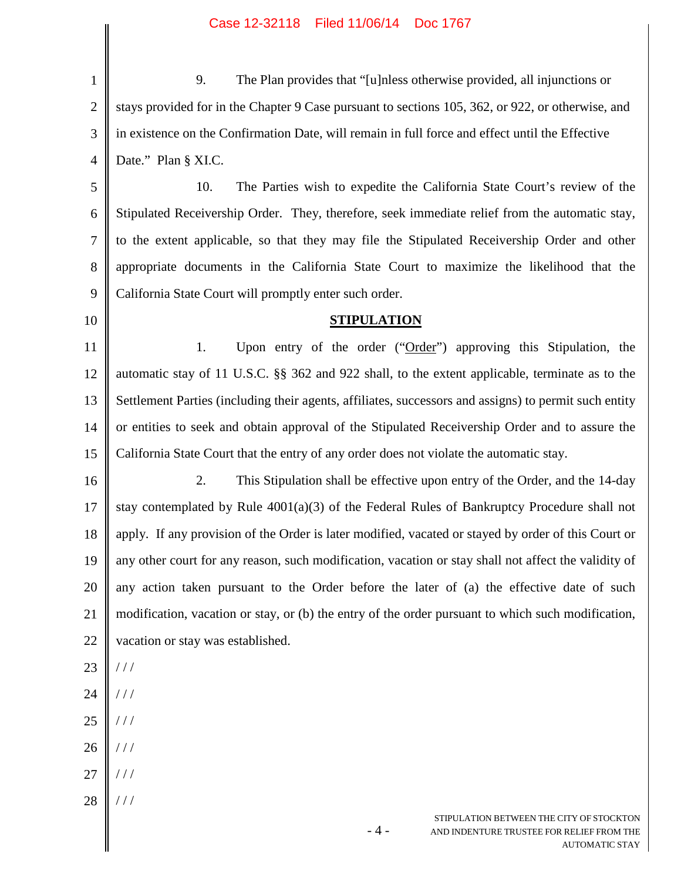| $\mathbf{1}$   | 9.<br>The Plan provides that "[u]nless otherwise provided, all injunctions or                                           |  |  |
|----------------|-------------------------------------------------------------------------------------------------------------------------|--|--|
| $\overline{2}$ | stays provided for in the Chapter 9 Case pursuant to sections 105, 362, or 922, or otherwise, and                       |  |  |
| 3              | in existence on the Confirmation Date, will remain in full force and effect until the Effective                         |  |  |
| $\overline{4}$ | Date." Plan § XI.C.                                                                                                     |  |  |
| 5              | 10.<br>The Parties wish to expedite the California State Court's review of the                                          |  |  |
| 6              | Stipulated Receivership Order. They, therefore, seek immediate relief from the automatic stay,                          |  |  |
| $\overline{7}$ | to the extent applicable, so that they may file the Stipulated Receivership Order and other                             |  |  |
| 8              | appropriate documents in the California State Court to maximize the likelihood that the                                 |  |  |
| 9              | California State Court will promptly enter such order.                                                                  |  |  |
| 10             | <b>STIPULATION</b>                                                                                                      |  |  |
| 11             | 1.<br>Upon entry of the order ("Order") approving this Stipulation, the                                                 |  |  |
| 12             | automatic stay of 11 U.S.C. §§ 362 and 922 shall, to the extent applicable, terminate as to the                         |  |  |
| 13             | Settlement Parties (including their agents, affiliates, successors and assigns) to permit such entity                   |  |  |
| 14             | or entities to seek and obtain approval of the Stipulated Receivership Order and to assure the                          |  |  |
| 15             | California State Court that the entry of any order does not violate the automatic stay.                                 |  |  |
| 16             | 2.<br>This Stipulation shall be effective upon entry of the Order, and the 14-day                                       |  |  |
| 17             | stay contemplated by Rule $4001(a)(3)$ of the Federal Rules of Bankruptcy Procedure shall not                           |  |  |
| 18             | apply. If any provision of the Order is later modified, vacated or stayed by order of this Court or                     |  |  |
| 19             | any other court for any reason, such modification, vacation or stay shall not affect the validity of                    |  |  |
| 20             | any action taken pursuant to the Order before the later of (a) the effective date of such                               |  |  |
| 21             | modification, vacation or stay, or (b) the entry of the order pursuant to which such modification,                      |  |  |
| 22             | vacation or stay was established.                                                                                       |  |  |
| 23             | //                                                                                                                      |  |  |
| 24             | //                                                                                                                      |  |  |
| 25             | //                                                                                                                      |  |  |
| 26             | //                                                                                                                      |  |  |
| 27             | //                                                                                                                      |  |  |
| 28             | //                                                                                                                      |  |  |
|                | STIPULATION BETWEEN THE CITY OF STOCKTON<br>- 4 -<br>AND INDENTURE TRUSTEE FOR RELIEF FROM THE<br><b>AUTOMATIC STAY</b> |  |  |